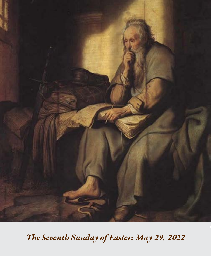

*The Seventh Sunday of Easter: May 29, 2022*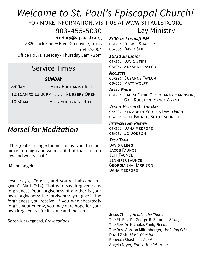# *Welcome to St. Paul's Episcopal Church!*

FOR MORE INFORMATION, VISIT US AT WWW.STPAULSTX.ORG

903-455-5030

 **secretary@stpaulstx.org**

8320 Jack Finney Blvd. Greenville, Texas 75402-3004

Office Hours: Tuesday - Thursday 8am - 2pm

# Service Times

### *SUNDAY*

| 8:00AM HOLY EUCHARIST RITE I    |
|---------------------------------|
| 10:15AM to 12:00PM NURSERY OPEN |
| 10:30AM. HOLY EUCHARIST RITE II |

# *Morsel for Meditation*

"The greatest danger for most of us is not that our aim is too high and we miss it, but that it is too low and we reach it."

-Michelangelo

Jesus says, "Forgive, and you will also be forgiven" (Matt. 6:14). That is to say, forgiveness is forgiveness. Your forgiveness of another is your own forgiveness; the forgiveness you give is the forgiveness you receive. If you wholeheartedly forgive your enemy, you may dare hope for your own forgiveness, for it is one and the same.

Søren Kierkegaard, *Provocations*

### Lay Ministry *8:00 am Lector/LEM*

05/29: Debbie Shaffer 06/05: DAVID STIPE

#### *10:30 am Lector*

05/29: DAVID STIPE 06/05: Suzanne Taylor

#### *Acolytes*

05/29: Suzanne Taylor 06/05: MATT WOLFF

#### *Altar Guild*

05/29: Laura Funk, Georgianna Harrison, Gail Rolston, Nancy Wyant

#### *Vestry Person Of The Day*

05/29: ELIZABETH PORTER, DAVID GISH 06/05: JEFF FAUNCE, BETH LACHNITT

#### *Intercessory Prayer*

05/29: Dana Medford 06/05: Jo DODSON

#### *Tech Team*

David CLEGG JACOB FAUNCE Jeff Faunce Jennifer Faunce Georgianna Harrison DANA MEDEORD

Jesus Christ, *Head of the Church* The Rt. Rev. Dr. George R. Sumner, *Bishop* The Rev. Dr. Nicholas Funk, *Rector* The Rev. Gordon Miltenberger, *Assisting Priest* David Gish, *Music Director* Rebecca Shasteen, *Pianist* Angela Dryer, *Parish Administrator*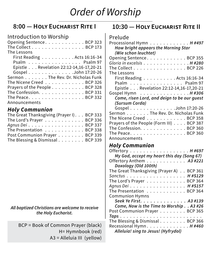# *Order of Worship*

# **8:00 — Holy Eucharist Rite I**

### Introduction to Worship

| Opening Sentence. BCP 323                                      |
|----------------------------------------------------------------|
| The Collect BCP 173                                            |
| The Lessons                                                    |
| First Reading Acts 16:16-34                                    |
| Psalm Psalm 97                                                 |
| Epistle Revelation 22:12-14,16-17,20-21                        |
| Gospel John 17:20-26                                           |
| Sermon The Rev. Dr. Nicholas Funk                              |
| The Nicene Creed BCP 326                                       |
| Prayers of the People BCP 328                                  |
| The Confession. BCP 331                                        |
| The Peace. $\ldots$ . $\ldots$ . $\ldots$ . $\ldots$ . BCP 332 |
| Announcements                                                  |

### *Holy Communion*

| The Great Thanksgiving (Prayer I). BCP 333 |  |
|--------------------------------------------|--|
| The Lord's Prayer BCP 336                  |  |
| Agnus Dei BCP 337                          |  |
| The Presentation BCP 338                   |  |
| Post Communion Prayer BCP 339              |  |
| The Blessing & Dismissal BCP 339           |  |

#### *All baptized Christians are welcome to receive the Holy Eucharist.*

BCP = Book of Common Prayer (black) H= Hymnbook (red) A3 = Alleluia III (yellow)

## **10:30 — Holy Eucharist Rite II**

#### Prelude

| Processional Hymn $\ldots \ldots \ldots \ldots$ . H#497    |
|------------------------------------------------------------|
| How bright appears the Morning Star                        |
| (Wie schon leuchtet)                                       |
| Opening Sentence. BCP 355                                  |
| Gloria in excelsis H #280                                  |
| The Collect $\ldots \ldots \ldots \ldots \ldots$ . BCP 226 |
| The Lessons                                                |
| First Reading $\ldots \ldots \ldots$ . Acts 16:16-34       |
| Psalm $\ldots \ldots \ldots \ldots \ldots$ . Psalm 97      |
| Epistle Revelation 22:12-14,16-17,20-21                    |
| Gospel Hymn H #306                                         |
| Come, risen Lord, and deign to be our guest                |
| (Sursum Corda)                                             |
| Gospel John 17:20-26                                       |
| Sermon The Rev. Dr. Nicholas Funk                          |
| The Nicene Creed BCP 358                                   |
| Prayers of the People (Form III) BCP 387                   |
| The Confession. BCP 360                                    |
| The Peace. BCP 360                                         |
| Announcements                                              |

## *Holy Communion*

| Offertory H#697                            |
|--------------------------------------------|
| My God, accept my heart this day (Song 67) |
| Offertory Anthem 43 #221                   |
| Doxology (Old 100th)                       |
| The Great Thanksgiving (Prayer A) BCP 361  |
| Sanctus H #S129                            |
| The Lord's Prayer BCP 364                  |
| Agnus Dei H #S157                          |
| The Presentation BCP 364                   |
| <b>Communion Hymns</b>                     |
| Seek Ye First. A3 #139                     |
| Come, Now is the Time to Worship A3 #26    |
| Post Communion Prayer BCP 365              |
|                                            |
| The Blessing & Dismissal BCP 366           |
| Recessional Hymn. H#460                    |
| Alleluia! sing to Jesus! (Hyfrydol)        |